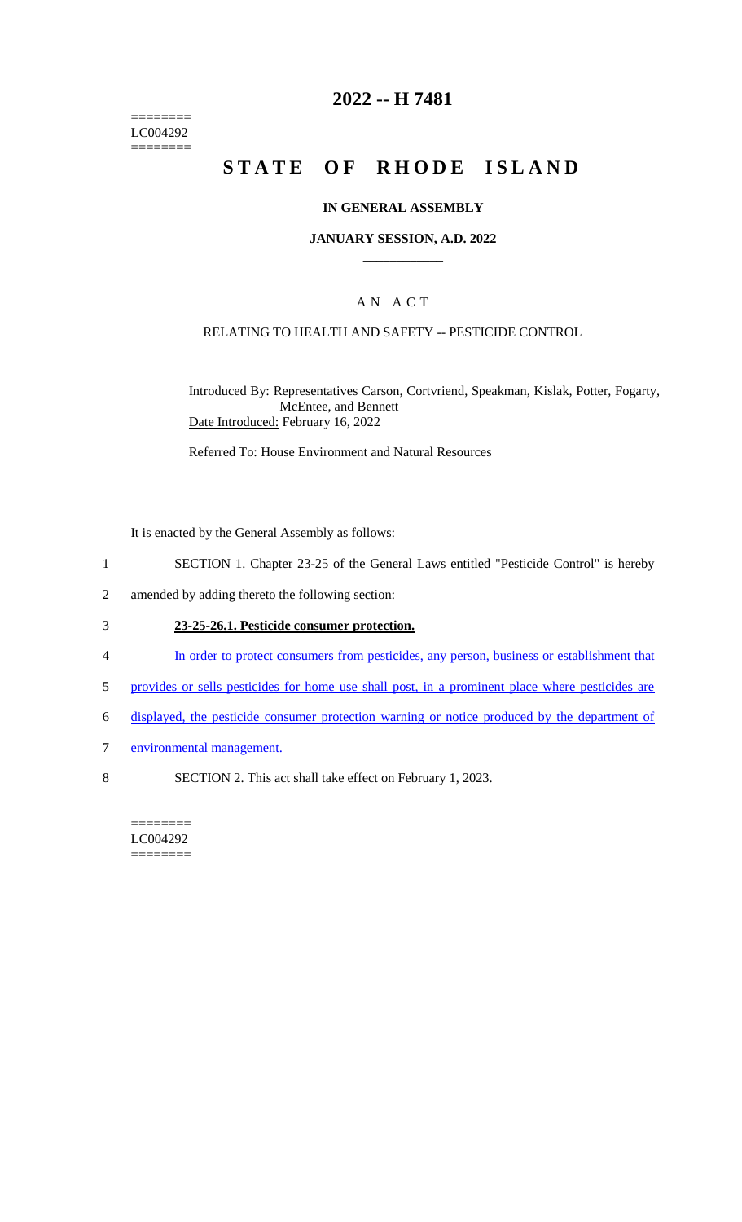======== LC004292  $=$ 

## **2022 -- H 7481**

# **STATE OF RHODE ISLAND**

#### **IN GENERAL ASSEMBLY**

#### **JANUARY SESSION, A.D. 2022 \_\_\_\_\_\_\_\_\_\_\_\_**

## A N A C T

#### RELATING TO HEALTH AND SAFETY -- PESTICIDE CONTROL

Introduced By: Representatives Carson, Cortvriend, Speakman, Kislak, Potter, Fogarty, McEntee, and Bennett Date Introduced: February 16, 2022

Referred To: House Environment and Natural Resources

It is enacted by the General Assembly as follows:

- 1 SECTION 1. Chapter 23-25 of the General Laws entitled "Pesticide Control" is hereby
- 2 amended by adding thereto the following section:

#### 3 **23-25-26.1. Pesticide consumer protection.**

- 4 In order to protect consumers from pesticides, any person, business or establishment that
- 5 provides or sells pesticides for home use shall post, in a prominent place where pesticides are
- 6 displayed, the pesticide consumer protection warning or notice produced by the department of
- 7 environmental management.
- 8 SECTION 2. This act shall take effect on February 1, 2023.

======== LC004292 ========